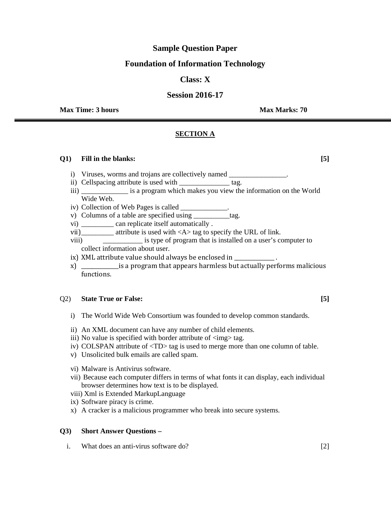# **Sample Question Paper**

# **Foundation of Information Technology**

# **Class: X**

# **Session 2016-17**

**Max Time: 3 hours Max Marks: 70 <b>Max Marks: 70 Max Marks: 70** 

# **SECTION A**

#### **Q1) Fill in the blanks: [5]**

- i) Viruses, worms and trojans are collectively named \_\_\_\_\_\_\_\_\_\_\_\_\_\_\_\_\_\_\_\_\_\_\_\_\_\_\_\_
- ii) Cellspacing attribute is used with \_\_\_\_\_\_\_\_\_\_\_\_\_\_\_ tag.
- iii) \_\_\_\_\_\_\_\_\_\_\_\_\_ is a program which makes you view the information on the World Wide Web.
- iv) Collection of Web Pages is called \_\_\_\_\_\_\_\_\_\_\_\_\_.
- v) Columns of a table are specified using \_\_\_\_\_\_\_\_\_\_tag.
- vi) \_\_\_\_\_\_\_\_\_ can replicate itself automatically .
- vii)\_\_\_\_\_\_\_\_\_ attribute is used with <A> tag to specify the URL of link.
- viii) \_\_\_\_\_\_\_\_\_\_\_ is type of program that is installed on a user's computer to collect information about user.
- ix) XML attribute value should always be enclosed in \_\_\_\_\_\_\_\_\_\_\_\_\_\_\_\_.
- x) \_\_\_\_\_\_\_\_\_\_\_\_\_\_is a program that appears harmless but actually performs malicious functions.

# Q2) **State True or False: [5]**

- i) The World Wide Web Consortium was founded to develop common standards.
- ii) An XML document can have any number of child elements.
- iii) No value is specified with border attribute of  $\langle \text{img} \rangle$  tag.
- iv) COLSPAN attribute of <TD> tag is used to merge more than one column of table.
- v) Unsolicited bulk emails are called spam.
- vi) Malware is Antivirus software.
- vii) Because each computer differs in terms of what fonts it can display, each individual browser determines how text is to be displayed.
- viii) Xml is Extended MarkupLanguage
- ix) Software piracy is crime.
- x) A cracker is a malicious programmer who break into secure systems.

#### **Q3) Short Answer Questions –**

i. What does an anti-virus software do? [2]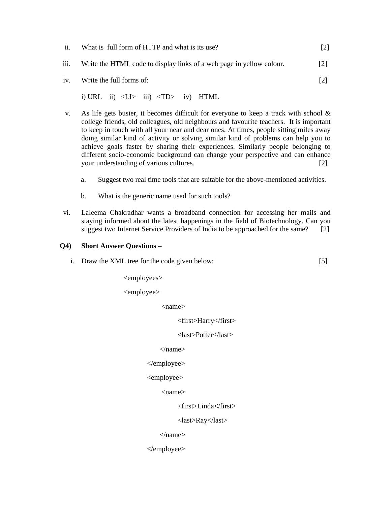| ii.  | What is full form of HTTP and what is its use?                       |     |  |  |
|------|----------------------------------------------------------------------|-----|--|--|
| iii. | Write the HTML code to display links of a web page in yellow colour. |     |  |  |
|      | iv. Write the full forms of:                                         | [2] |  |  |
|      | i) URL ii) $\langle L \rangle$ iii) $\langle TD \rangle$ iv) HTML    |     |  |  |

- v. As life gets busier, it becomes difficult for everyone to keep a track with school  $\&$ college friends, old colleagues, old neighbours and favourite teachers. It is important to keep in touch with all your near and dear ones. At times, people sitting miles away doing similar kind of activity or solving similar kind of problems can help you to achieve goals faster by sharing their experiences. Similarly people belonging to different socio-economic background can change your perspective and can enhance your understanding of various cultures. [2]
	- a. Suggest two real time tools that are suitable for the above-mentioned activities.
	- b. What is the generic name used for such tools?
- vi. Laleema Chakradhar wants a broadband connection for accessing her mails and staying informed about the latest happenings in the field of Biotechnology. Can you suggest two Internet Service Providers of India to be approached for the same? [2]

#### **Q4) Short Answer Questions –**

i. Draw the XML tree for the code given below: [5]

<employees>

<employee>

<name>

<first>Harry</first>

<last>Potter</last>

</name>

#### </employee>

<employee>

<name>

<first>Linda</first>

<last>Ray</last>

</name>

</employee>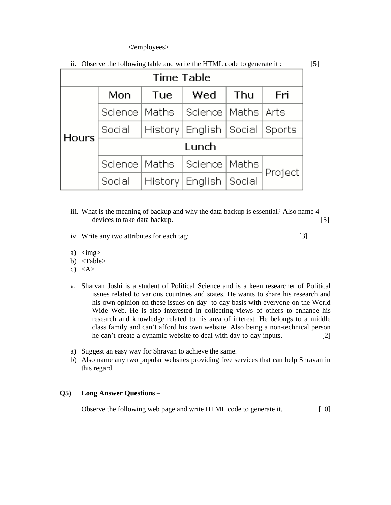#### </employees>

| Time Table   |                 |     |                                     |     |         |  |  |  |
|--------------|-----------------|-----|-------------------------------------|-----|---------|--|--|--|
|              | Mon             | Tue | Wed                                 | Thu | Fri     |  |  |  |
|              | Science   Maths |     | Science   Maths   Arts              |     |         |  |  |  |
| <b>Hours</b> | Social          |     | History   English   Social   Sports |     |         |  |  |  |
|              | Lunch           |     |                                     |     |         |  |  |  |
|              | Science   Maths |     | Science   Maths                     |     |         |  |  |  |
|              | Social          |     | History   English   Social          |     | Project |  |  |  |

ii. Observe the following table and write the HTML code to generate it : [5]

- iii. What is the meaning of backup and why the data backup is essential? Also name 4 devices to take data backup. [5]
- iv. Write any two attributes for each tag: [3]
- 

- a)  $\langle \text{img} \rangle$
- b) <Table>
- c)  $\langle A \rangle$
- v. Sharvan Joshi is a student of Political Science and is a keen researcher of Political issues related to various countries and states. He wants to share his research and his own opinion on these issues on day -to-day basis with everyone on the World Wide Web. He is also interested in collecting views of others to enhance his research and knowledge related to his area of interest. He belongs to a middle class family and can't afford his own website. Also being a non-technical person he can't create a dynamic website to deal with day-to-day inputs. [2]
- a) Suggest an easy way for Shravan to achieve the same.
- b) Also name any two popular websites providing free services that can help Shravan in this regard.

# **Q5) Long Answer Questions –**

Observe the following web page and write HTML code to generate it. [10]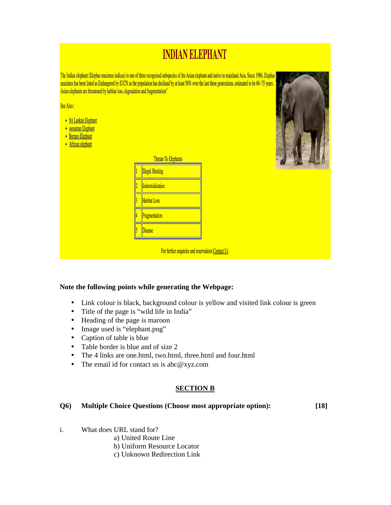# **INDIAN ELEPHANT** The Indian elephant (Elephas maximus indicus) is one of three recognised subspecies of the Asian elephant and native to mainland Asia. Since 1986, Elephas maximus has been listed as Endangered by IUCN as the population has declined by at least 50% over the last three generations, estimated to be 60-75 years. Asian elephants are threatened by habitat loss, degradation and fragmentation". See Also: • Sri Lankan Elephant • sumatran Elephant • Borneo Elephant · African elephant **Threats To Elephants Illegal Hunting** Industrialisation **Habitat Loss Fragmentation Disease** For further enquiries and reservations Contact Us

# **Note the following points while generating the Webpage:**

- Link colour is black, background colour is yellow and visited link colour is green
- Title of the page is "wild life in India"
- Heading of the page is maroon
- Image used is "elephant.png"
- Caption of table is blue
- Table border is blue and of size 2
- The 4 links are one.html, two.html, three.html and four.html
- The email id for contact us is abc@xyz.com

# **SECTION B**

#### **Q6) Multiple Choice Questions (Choose most appropriate option): [18]**

- i. What does URL stand for?
	- a) United Route Line
	- b) Uniform Resource Locator
	- c) Unknown Redirection Link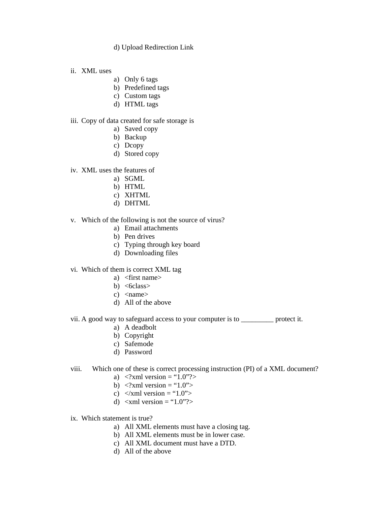## d) Upload Redirection Link

- ii. XML uses
	- a) Only 6 tags
	- b) Predefined tags
	- c) Custom tags
	- d) HTML tags
- iii. Copy of data created for safe storage is
	- a) Saved copy
	- b) Backup
	- c) Dcopy
	- d) Stored copy
- iv. XML uses the features of
	- a) SGML
	- b) HTML
	- c) XHTML
	- d) DHTML
- v. Which of the following is not the source of virus?
	- a) Email attachments
	- b) Pen drives
	- c) Typing through key board
	- d) Downloading files
- vi. Which of them is correct XML tag
	- a) <first name>
	- b)  $<6class>$
	- c)  $\langle$ name $\rangle$
	- d) All of the above
- vii. A good way to safeguard access to your computer is to \_\_\_\_\_\_\_\_\_ protect it.
	- a) A deadbolt
	- b) Copyright
	- c) Safemode
	- d) Password
- viii. Which one of these is correct processing instruction (PI) of a XML document?
	- a)  $\langle$ ?xml version = "1.0"?>
	- b)  $\langle$ ?xml version = "1.0">
	- c)  $\langle x$ ml version = "1.0">
	- d)  $\langle \text{cm} \rangle$  version = "1.0"?>
- ix. Which statement is true?
	- a) All XML elements must have a closing tag.
	- b) All XML elements must be in lower case.
	- c) All XML document must have a DTD.
	- d) All of the above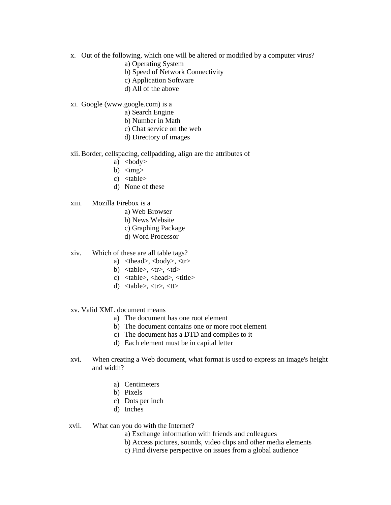- x. Out of the following, which one will be altered or modified by a computer virus?
	- a) Operating System
	- b) Speed of Network Connectivity
	- c) Application Software
	- d) All of the above
- xi. Google (www.google.com) is a
	- a) Search Engine
	- b) Number in Math
	- c) Chat service on the web
	- d) Directory of images
- xii. Border, cellspacing, cellpadding, align are the attributes of
	- a)  $<$ body $>$
	- b)  $\langle \text{img} \rangle$
	- c) <table>
	- d) None of these
- xiii. Mozilla Firebox is a
	- a) Web Browser
	- b) News Website
	- c) Graphing Package
	- d) Word Processor
- xiv. Which of these are all table tags?
	- a)  $\langle \text{thead}\rangle$ ,  $\langle \text{body}\rangle$ ,  $\langle \text{tr}\rangle$
	- b)  $$
	- c) <table>, <head>, <title>
	- d)  $$
- xv. Valid XML document means
	- a) The document has one root element
	- b) The document contains one or more root element
	- c) The document has a DTD and complies to it
	- d) Each element must be in capital letter
- xvi. When creating a Web document, what format is used to express an image's height and width?
	- a) Centimeters
	- b) Pixels
	- c) Dots per inch
	- d) Inches
- xvii. What can you do with the Internet?
	- a) Exchange information with friends and colleagues
	- b) Access pictures, sounds, video clips and other media elements
	- c) Find diverse perspective on issues from a global audience